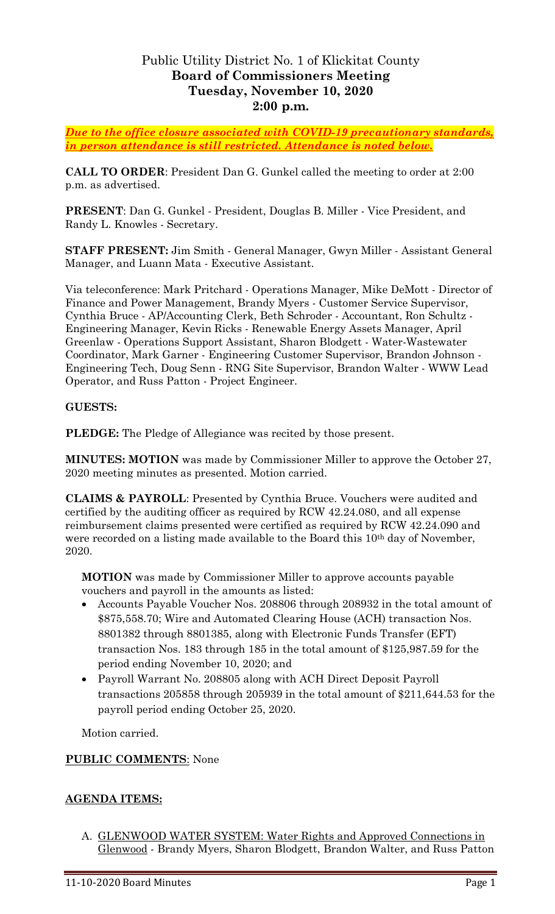# Public Utility District No. 1 of Klickitat County **Board of Commissioners Meeting Tuesday, November 10, 2020 2:00 p.m.**

*Due to the office closure associated with COVID-19 precautionary standards, in person attendance is still restricted. Attendance is noted below.*

**CALL TO ORDER**: President Dan G. Gunkel called the meeting to order at 2:00 p.m. as advertised.

**PRESENT**: Dan G. Gunkel - President, Douglas B. Miller - Vice President, and Randy L. Knowles - Secretary.

**STAFF PRESENT:** Jim Smith - General Manager, Gwyn Miller - Assistant General Manager, and Luann Mata - Executive Assistant.

Via teleconference: Mark Pritchard - Operations Manager, Mike DeMott - Director of Finance and Power Management, Brandy Myers - Customer Service Supervisor, Cynthia Bruce - AP/Accounting Clerk, Beth Schroder - Accountant, Ron Schultz - Engineering Manager, Kevin Ricks - Renewable Energy Assets Manager, April Greenlaw - Operations Support Assistant, Sharon Blodgett - Water-Wastewater Coordinator, Mark Garner - Engineering Customer Supervisor, Brandon Johnson - Engineering Tech, Doug Senn - RNG Site Supervisor, Brandon Walter - WWW Lead Operator, and Russ Patton - Project Engineer.

#### **GUESTS:**

**PLEDGE:** The Pledge of Allegiance was recited by those present.

**MINUTES: MOTION** was made by Commissioner Miller to approve the October 27, 2020 meeting minutes as presented. Motion carried.

**CLAIMS & PAYROLL**: Presented by Cynthia Bruce. Vouchers were audited and certified by the auditing officer as required by RCW 42.24.080, and all expense reimbursement claims presented were certified as required by RCW 42.24.090 and were recorded on a listing made available to the Board this 10<sup>th</sup> day of November, 2020.

**MOTION** was made by Commissioner Miller to approve accounts payable vouchers and payroll in the amounts as listed:

- Accounts Payable Voucher Nos. 208806 through 208932 in the total amount of \$875,558.70; Wire and Automated Clearing House (ACH) transaction Nos. 8801382 through 8801385, along with Electronic Funds Transfer (EFT) transaction Nos. 183 through 185 in the total amount of \$125,987.59 for the period ending November 10, 2020; and
- Payroll Warrant No. 208805 along with ACH Direct Deposit Payroll transactions 205858 through 205939 in the total amount of \$211,644.53 for the payroll period ending October 25, 2020.

Motion carried.

#### **PUBLIC COMMENTS**: None

### **AGENDA ITEMS:**

A. GLENWOOD WATER SYSTEM: Water Rights and Approved Connections in Glenwood - Brandy Myers, Sharon Blodgett, Brandon Walter, and Russ Patton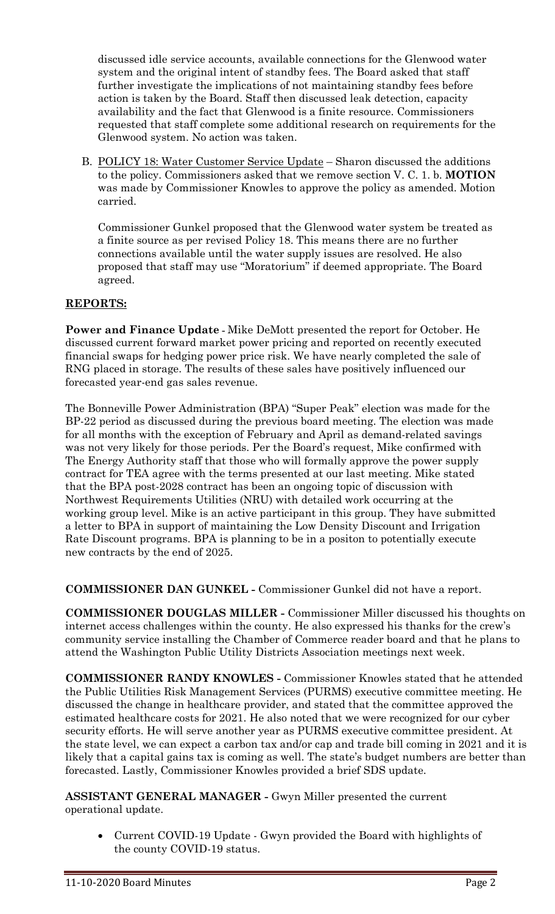discussed idle service accounts, available connections for the Glenwood water system and the original intent of standby fees. The Board asked that staff further investigate the implications of not maintaining standby fees before action is taken by the Board. Staff then discussed leak detection, capacity availability and the fact that Glenwood is a finite resource. Commissioners requested that staff complete some additional research on requirements for the Glenwood system. No action was taken.

B. POLICY 18: Water Customer Service Update - Sharon discussed the additions to the policy. Commissioners asked that we remove section V. C. 1. b. **MOTION** was made by Commissioner Knowles to approve the policy as amended. Motion carried.

Commissioner Gunkel proposed that the Glenwood water system be treated as a finite source as per revised Policy 18. This means there are no further connections available until the water supply issues are resolved. He also proposed that staff may use "Moratorium" if deemed appropriate. The Board agreed.

## **REPORTS:**

**Power and Finance Update -** Mike DeMott presented the report for October. He discussed current forward market power pricing and reported on recently executed financial swaps for hedging power price risk. We have nearly completed the sale of RNG placed in storage. The results of these sales have positively influenced our forecasted year-end gas sales revenue.

The Bonneville Power Administration (BPA) "Super Peak" election was made for the BP-22 period as discussed during the previous board meeting. The election was made for all months with the exception of February and April as demand-related savings was not very likely for those periods. Per the Board's request, Mike confirmed with The Energy Authority staff that those who will formally approve the power supply contract for TEA agree with the terms presented at our last meeting. Mike stated that the BPA post-2028 contract has been an ongoing topic of discussion with Northwest Requirements Utilities (NRU) with detailed work occurring at the working group level. Mike is an active participant in this group. They have submitted a letter to BPA in support of maintaining the Low Density Discount and Irrigation Rate Discount programs. BPA is planning to be in a positon to potentially execute new contracts by the end of 2025.

**COMMISSIONER DAN GUNKEL -** Commissioner Gunkel did not have a report.

**COMMISSIONER DOUGLAS MILLER -** Commissioner Miller discussed his thoughts on internet access challenges within the county. He also expressed his thanks for the crew's community service installing the Chamber of Commerce reader board and that he plans to attend the Washington Public Utility Districts Association meetings next week.

**COMMISSIONER RANDY KNOWLES -** Commissioner Knowles stated that he attended the Public Utilities Risk Management Services (PURMS) executive committee meeting. He discussed the change in healthcare provider, and stated that the committee approved the estimated healthcare costs for 2021. He also noted that we were recognized for our cyber security efforts. He will serve another year as PURMS executive committee president. At the state level, we can expect a carbon tax and/or cap and trade bill coming in 2021 and it is likely that a capital gains tax is coming as well. The state's budget numbers are better than forecasted. Lastly, Commissioner Knowles provided a brief SDS update.

**ASSISTANT GENERAL MANAGER -** Gwyn Miller presented the current operational update.

• Current COVID-19 Update - Gwyn provided the Board with highlights of the county COVID-19 status.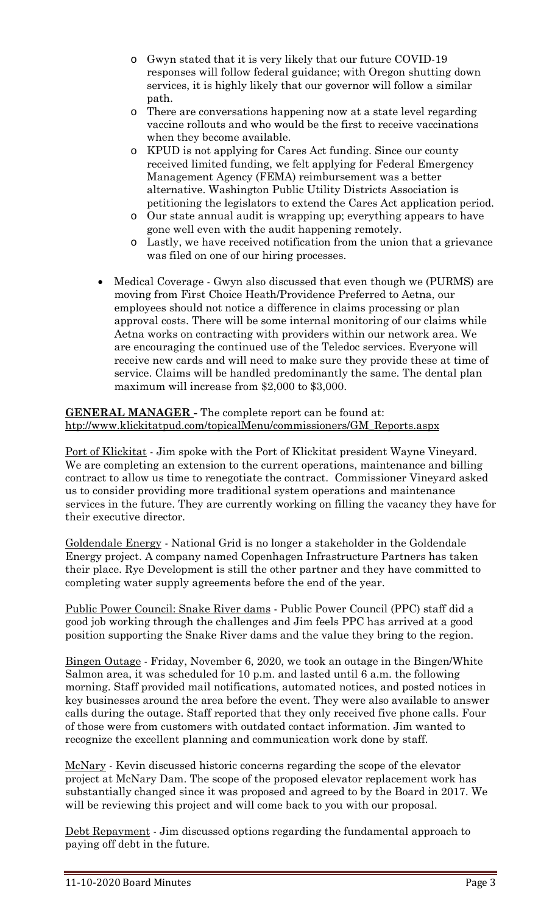- o Gwyn stated that it is very likely that our future COVID-19 responses will follow federal guidance; with Oregon shutting down services, it is highly likely that our governor will follow a similar path.
- o There are conversations happening now at a state level regarding vaccine rollouts and who would be the first to receive vaccinations when they become available.
- o KPUD is not applying for Cares Act funding. Since our county received limited funding, we felt applying for Federal Emergency Management Agency (FEMA) reimbursement was a better alternative. Washington Public Utility Districts Association is petitioning the legislators to extend the Cares Act application period.
- o Our state annual audit is wrapping up; everything appears to have gone well even with the audit happening remotely.
- o Lastly, we have received notification from the union that a grievance was filed on one of our hiring processes.
- Medical Coverage Gwyn also discussed that even though we (PURMS) are moving from First Choice Heath/Providence Preferred to Aetna, our employees should not notice a difference in claims processing or plan approval costs. There will be some internal monitoring of our claims while Aetna works on contracting with providers within our network area. We are encouraging the continued use of the Teledoc services. Everyone will receive new cards and will need to make sure they provide these at time of service. Claims will be handled predominantly the same. The dental plan maximum will increase from \$2,000 to \$3,000.

**GENERAL MANAGER -** The complete report can be found at: [htp://www.klickitatpud.com/topicalMenu/commissioners/GM\\_Reports.aspx](http://www.klickitatpud.com/topicalMenu/commissioners/GM_Reports.aspx)

Port of Klickitat - Jim spoke with the Port of Klickitat president Wayne Vineyard. We are completing an extension to the current operations, maintenance and billing contract to allow us time to renegotiate the contract. Commissioner Vineyard asked us to consider providing more traditional system operations and maintenance services in the future. They are currently working on filling the vacancy they have for their executive director.

Goldendale Energy - National Grid is no longer a stakeholder in the Goldendale Energy project. A company named Copenhagen Infrastructure Partners has taken their place. Rye Development is still the other partner and they have committed to completing water supply agreements before the end of the year.

Public Power Council: Snake River dams - Public Power Council (PPC) staff did a good job working through the challenges and Jim feels PPC has arrived at a good position supporting the Snake River dams and the value they bring to the region.

Bingen Outage - Friday, November 6, 2020, we took an outage in the Bingen/White Salmon area, it was scheduled for 10 p.m. and lasted until 6 a.m. the following morning. Staff provided mail notifications, automated notices, and posted notices in key businesses around the area before the event. They were also available to answer calls during the outage. Staff reported that they only received five phone calls. Four of those were from customers with outdated contact information. Jim wanted to recognize the excellent planning and communication work done by staff.

McNary - Kevin discussed historic concerns regarding the scope of the elevator project at McNary Dam. The scope of the proposed elevator replacement work has substantially changed since it was proposed and agreed to by the Board in 2017. We will be reviewing this project and will come back to you with our proposal.

Debt Repayment - Jim discussed options regarding the fundamental approach to paying off debt in the future.